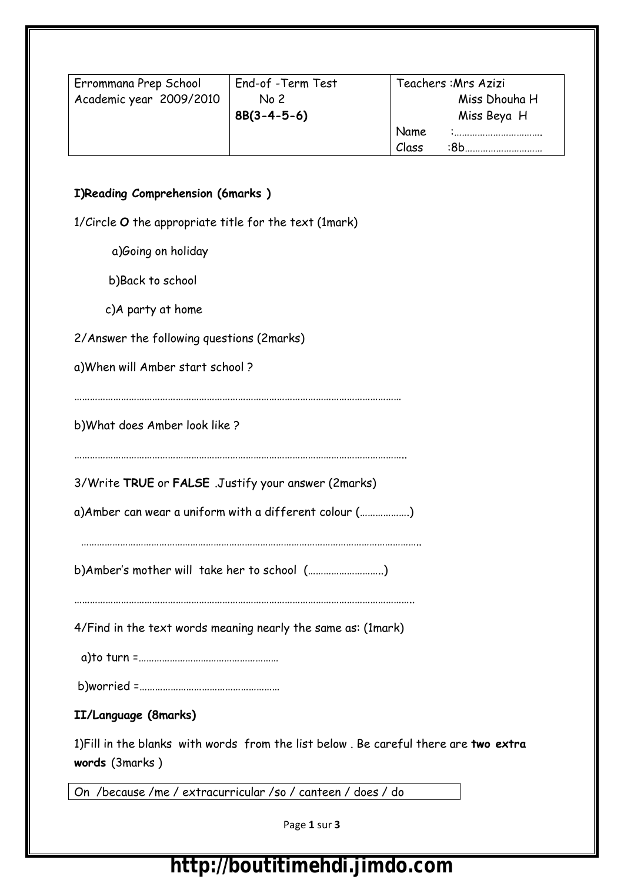| Errommana Prep School   | End-of -Term Test | Teachers: Mrs Azizi |
|-------------------------|-------------------|---------------------|
| Academic year 2009/2010 | No <sub>2</sub>   | Miss Dhouha H       |
|                         | $8B(3-4-5-6)$     | Miss Beya H         |
|                         |                   | Name                |
|                         |                   | Class<br>∙8h        |

#### **I)Reading Comprehension (6marks )**

1/Circle **O** the appropriate title for the text (1mark)

a)Going on holiday

b)Back to school

c)A party at home

| 2/Answer the following questions (2marks) |  |  |  |
|-------------------------------------------|--|--|--|
|-------------------------------------------|--|--|--|

a)When will Amber start school ?

………………………………………………………………………………………………………………

b)What does Amber look like ?

………………………………………………………………………………………………………………..

3/Write **TRUE** or **FALSE** .Justify your answer (2marks)

a)Amber can wear a uniform with a different colour (……………….)

…………………………………………………………………………………………………………………..

b)Amber's mother will take her to school (………………………..)

…………………………………………………………………………………………………………………..

4/Find in the text words meaning nearly the same as: (1mark)

a)to turn =………………………………………………

b)worried =………………………………………………

### **II/Language (8marks)**

1)Fill in the blanks with words from the list below . Be careful there are **two extra words** (3marks )

On /because /me / extracurricular /so / canteen / does / do

Page **1** sur **3**

## http://boutitimehdi.jimdo.com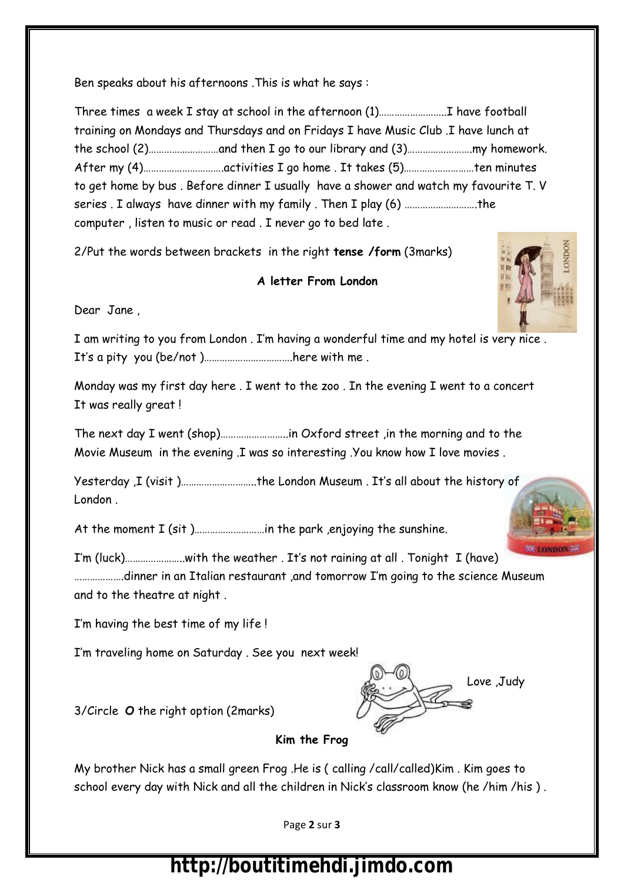Ben speaks about his afternoons .This is what he says :

Three times a week I stay at school in the afternoon (1)……………………..I have football training on Mondays and Thursdays and on Fridays I have Music Club .I have lunch at the school (2)………………………and then I go to our library and (3)…………………….my homework. After my (4)………………………….activities I go home . It takes (5)………………………ten minutes to get home by bus . Before dinner I usually have a shower and watch my favourite T. V series . I always have dinner with my family . Then I play (6) ……………………….the computer , listen to music or read . I never go to bed late .

2/Put the words between brackets in the right **tense /form** (3marks)

#### **A letter From London**

Dear Jane ,

I am writing to you from London . I'm having a wonderful time and my hotel is very nice . It's a pity you (be/not )…………………………….here with me .

Monday was my first day here . I went to the zoo . In the evening I went to a concert It was really great !

The next day I went (shop)……………………..in Oxford street ,in the morning and to the Movie Museum in the evening .I was so interesting .You know how I love movies .

Yesterday ,I (visit )………………………..the London Museum . It's all about the history of London .

At the moment I (sit )………………………in the park ,enjoying the sunshine.

I'm (luck)…………………..with the weather . It's not raining at all . Tonight I (have) ……………….dinner in an Italian restaurant ,and tomorrow I'm going to the science Museum and to the theatre at night .

I'm having the best time of my life !

I'm traveling home on Saturday . See you next week!

3/Circle **O** the right option (2marks)



My brother Nick has a small green Frog .He is ( calling /call/called)Kim . Kim goes to school every day with Nick and all the children in Nick's classroom know (he /him /his ) .

Page **2** sur **3**

# http://boutitimehdi.jimdo.com